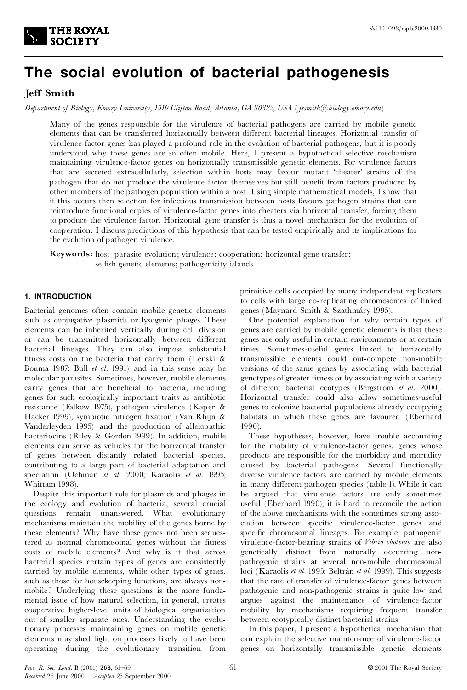

# **The social evolution of bacterial pathogenesis**

# **Jeff** Smith

*Department of Biology, Emory University, 1510 Clifton Road, Atlanta, GA 30322, USA* (*jssmith@biology.emory.edu*)

Many of the genes responsible for the virulence of bacterial pathogens are carried by mobile genetic elements that can be transferred horizontally between different bacterial lineages. Horizontal transfer of virulence-factor genes has played a profound role in the evolution of bacterial pathogens, but it is poorly understood why these genes are so often mobile. Here, I present a hypothetical selective mechanism maintaining virulence-factor genes on horizontally transmissible genetic elements. For virulence factors that are secreted extracellularly, selection within hosts may favour mutant `cheater' strains of the pathogen that do not produce the virulence factor themselves but still benefit from factors produced by other members of the pathogen population within a host. Using simple mathematical models, I show that if this occurs then selection for infectious transmission between hosts favours pathogen strains that can reintroduce functional copies of virulence-factor genes into cheaters via horizontal transfer, forcing them to produce the virulence factor. Horizontal gene transfer is thus a novel mechanism for the evolution of cooperation. I discuss predictions of this hypothesis that can be tested empirically and its implications for the evolution of pathogen virulence.

**Keywords:** host-parasite evolution; virulence; cooperation; horizontal gene transfer; selfish genetic elements; pathogenicity islands

# **1. INTRODUCTION**

Bacterial genomes often contain mobile genetic elements such as conjugative plasmids or lysogenic phages. These elements can be inherited vertically during cell division or can be transmitted horizontally between different bacterial lineages. They can also impose substantial fitness costs on the bacteria that carry them (Lenski & Bouma 1987; Bull *et al.* 1991) and in this sense may be molecular parasites. Sometimes, however, mobile elements carry genes that are beneficial to bacteria, including genes for such ecologically important traits as antibiotic resistance (Falkow 1975), pathogen virulence (Kaper & Hacker 1999), symbiotic nitrogen fixation (Van Rhijn & Vanderleyden 1995) and the production of allelopathic bacteriocins (Riley & Gordon 1999). In addition, mobile elements can serve as vehicles for the horizontal transfer of genes between distantly related bacterial species, contributing to a large part of bacterial adaptation and speciation (Ochman *et al.* 2000; Karaolis *et al.* 1995; Whittam 1998).

Despite this important role for plasmids and phages in the ecology and evolution of bacteria, several crucial questions remain unanswered. What evolutionary mechanisms maintain the mobility of the genes borne by these elements? Why have these genes not been sequestered as normal chromosomal genes without the fitness costs of mobile elements? And why is it that across bacterial species certain types of genes are consistently carried by mobile elements, while other types of genes, such as those for housekeeping functions, are always non mobile ? Underlying these questions is the more fundamental issue of how natural selection, in general, creates cooperative higher-level units of biological organization out of smaller separate ones. Understanding the evolutionary processes maintaining genes on mobile genetic elements may shed light on processes likely to have been operating during the evolutionary transition from primitive cells occupied by many independent replicators to cells with large co-replicating chromosomes of linked genes (Maynard Smith & Szathmáry 1995).

One potential explanation for why certain types of genes are carried by mobile genetic elements is that these genes are only useful in certain environments or at certain times. Sometimes-useful genes linked to horizontally transmissible elements could out-compete non-mobile versions of the same genes by associating with bacterial genotypes of greater fitness or by associating with a variety of different bacterial ecotypes (Bergstrom et al. 2000). Horizontal transfer could also allow sometimes-useful genes to colonize bacterial populations already occupying habitats in which these genes are favoured (Eberhard 1990).

These hypotheses, however, have trouble accounting for the mobility of virulence-factor genes, genes whose products are responsible for the morbidity and mortality caused by bacterial pathogens. Several functionally diverse virulence factors are carried by mobile elements in many different pathogen species (table 1). While it can be argued that virulence factors are only sometimes useful (Eberhard 1990), it is hard to reconcile the action of the above mechanisms with the sometimes strong asso ciation between specific virulence-factor genes and specific chromosomal lineages. For example, pathogenic virulence-factor-bearing strains of *Vibrio cholerae* are also genetically distinct from naturally occurring non pathogenic strains at several non-mobile chromosomal loci (Karaolis *et al.* 1995; Beltrán *et al.* 1999). This suggests that the rate of transfer of virulence-factor genes between pathogenic and non-pathogenic strains is quite low and argues against the maintenance of virulence-factor mobility by mechanisms requiring frequent transfer between ecotypically distinct bacterial strains.

In this paper, I present a hypothetical mechanism that can explain the selective maintenance of virulence-factor genes on horizontally transmissible genetic elements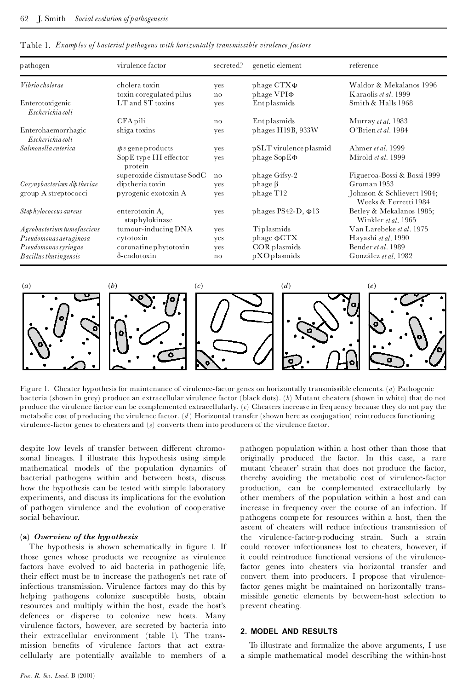| pathogen                               | virulence factor                  | secreted? | genetic element                  | reference                                           |
|----------------------------------------|-----------------------------------|-----------|----------------------------------|-----------------------------------------------------|
| Vibrio cholerae                        | cholera toxin                     | yes       | phage $CTX\Phi$                  | Waldor & Mekalanos 1996                             |
|                                        | toxin coregulated pilus           | no        | phage VPI $\Phi$                 | Karaolis et al. 1999                                |
| Enterotoxigenic<br>Escherichia coli    | LT and ST toxins                  | yes       | Entplasmids                      | Smith & Halls 1968                                  |
|                                        | CFA pili                          | no        | Ent plasmids                     | Murray et al. 1983                                  |
| Enterohaemorrhagic<br>Escherichia coli | shiga toxins                      | yes       | phages H19B, 933W                | O'Brien et al. 1984                                 |
| Salmonella enterica                    | $\textit{spv}$ gene products      | ves       | pSLT virulence plasmid           | Ahmer et al. 1999                                   |
|                                        | SopE type III effector<br>protein | yes       | phage $\text{Sop}\,\text{E}\Phi$ | Mirold et al. 1999                                  |
|                                        | superoxide dismutase SodC         | no        | phage Gifsy-2                    | Figueroa-Bossi & Bossi 1999                         |
| Corynybacterium dip theriae            | dip theria toxin                  | yes       | phage $\beta$                    | Groman 1953                                         |
| group A streptococci                   | pyrogenic exotoxin A              | yes       | phage T <sub>12</sub>            | Johnson & Schlievert 1984;<br>Weeks & Ferretti 1984 |
| Staphylococcus aureus                  | enterotoxin A,<br>staphylokinase  | yes       | phages PS42-D, $\Phi$ 13         | Betley & Mekalanos 1985;<br>Winkler et al. 1965     |
| Agrobacterium tumefasciens             | tumour-inducing DNA               | yes       | Tiplasmids                       | Van Larebeke et al. 1975                            |
| Pseudomonas aeruginosa                 | cytotoxin                         | yes       | phage $\Phi$ CTX                 | Hayashi et al. 1990                                 |
| Pseudomonas syringae                   | coronatine phytotoxin             | yes       | COR plasmids                     | Bender et al. 1989                                  |
| <b>Bacillus thuringensis</b>           | $\delta$ -endotoxin               | no        | pXOplasmids                      | González et al. 1982                                |

Table 1. *Examples of bacterial pathogens with horizontally transmissible virulence factors*



Figure 1. Cheater hypothesis for maintenance of virulence-factor genes on horizontally transmissible elements. (*a*) Pathogenic bacteria (shown in grey) produce an extracellular virulence factor (black dots). (*b*) Mutant cheaters (shown in white) that do not produce the virulence factor can be complemented extracellularly. (*c*) Cheaters increase in frequency because they do not pay the metabolic cost of producing the virulence factor. (*d* ) Horizontal transfer (shown here as conjugation) reintroduces functioning virulence-factor genes to cheaters and (*e*) converts them into producers of the virulence factor.

despite low levels of transfer between different chromosomal lineages. I illustrate this hypothesis using simple mathematical models of the population dynamics of bacterial pathogens within and between hosts, discuss how the hypothesis can be tested with simple laboratory experiments, and discuss its implications for the evolution of pathogen virulence and the evolution of cooperative social behaviour.

#### **(a)** *Overview of the hypothesis*

The hypothesis is shown schematically in figure 1. If those genes whose products we recognize as virulence factors have evolved to aid bacteria in pathogenic life, their effect must be to increase the pathogen's net rate of infectious transmission. Virulence factors may do this by helping pathogens colonize susceptible hosts, obtain resources and multiply within the host, evade the host's defences or disperse to colonize new hosts. Many virulence factors, however, are secreted by bacteria into their extracellular environment (table 1). The transmission benefits of virulence factors that act extracellularly are potentially available to members of a

pathogen population within a host other than those that originally produced the factor. In this case, a rare mutant 'cheater' strain that does not produce the factor, thereby avoiding the metabolic cost of virulence-factor production, can be complemented extracellularly by other members of the population within a host and can increase in frequency over the course of an infection. If pathogens compete for resources within a host, then the ascent of cheaters will reduce infectious transmission of the virulence-factor-p roducing strain. Such a strain could recover infectiousness lost to cheaters, however, if it could reintroduce functional versions of the virulencefactor genes into cheaters via horizontal transfer and convert them into producers. I propose that virulencefactor genes might be maintained on horizontally transmissible genetic elements by between-host selection to prevent cheating.

# **2. MODEL AND RESULTS**

To illustrate and formalize the above arguments, I use a simple mathematical model describing the within-host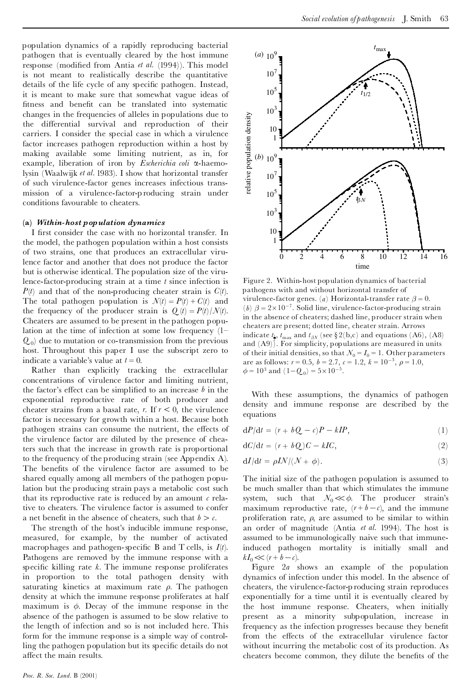population dynamics of a rapidly reproducing bacterial pathogen that is eventually cleared by the host immune response (modified from Antia *et al.* (1994)). This model is not meant to realistically describe the quantitative details of the life cycle of any specific pathogen. Instead, it is meant to make sure that somewhat vague ideas of fitness and benefit can be translated into systematic changes in the frequencies of alleles in populations due to the differential survival and reproduction of their carriers. I consider the special case in which a virulence factor increases pathogen reproduction within a host by making available some limiting nutrient, as in, for example, liberation of iron by *Escherichia coli* a-haemolysin (Waalwijk *et al.* 1983). I show that horizontal transfer of such virulence-factor genes increases infectious transmission of a virulence-factor-p roducing strain under conditions favourable to cheaters.

#### **(a)** *Within-host population dynamics*

I first consider the case with no horizontal transfer. In the model, the pathogen population within a host consists of two strains, one that produces an extracellular virulence factor and another that does not produce the factor but is otherwise identical. The population size of the virulence-factor-producing strain at a time *t* since infection is *P*(*t*) and that of the non-producing cheater strain is *C*(*t*). The total pathogen population is  $\mathcal{N}(t) = P(t) + C(t)$  and the frequency of the producer strain is  $Q_t(t) = P(t)/\mathcal{N}(t)$ . Cheaters are assumed to be present in the pathogen population at the time of infection at some low frequency  $(1 Q_0$  due to mutation or co-transmission from the previous host. Throughout this paper I use the subscript zero to indicate a variable's value at  $t = 0$ .

Rather than explicitly tracking the extracellular concentrations of virulence factor and limiting nutrient, the factor's effect can be simplified to an increase  $b$  in the exponential reproductive rate of both producer and cheater strains from a basal rate, *r*. If  $r < 0$ , the virulence factor is necessary for growth within a host. Because both pathogen strains can consume the nutrient, the effects of the virulence factor are diluted by the presence of cheaters such that the increase in growth rate is proportional to the frequency of the producing strain (see Appendix A). The benefits of the virulence factor are assumed to be shared equally among all members of the pathogen population but the producing strain pays a metabolic cost such that its reproductive rate is reduced by an amount  $c$  relative to cheaters. The virulence factor is assumed to confer a net benefit in the absence of cheaters, such that  $b > c$ .

The strength of the host's inducible immune response, measured, for example, by the number of activated macrophages and pathogen-specific B and T cells, is  $I(t)$ . Pathogens are removed by the immune response with a specific killing rate  $k$ . The immune response proliferates in proportion to the total pathogen density with saturating kinetics at maximum rate  $\rho$ . The pathogen density at which the immune response proliferates at half maximum is  $\phi$ . Decay of the immune response in the absence of the pathogen is assumed to be slow relative to the length of infection and so is not included here. This form for the immune response is a simple way of controlling the pathogen population but its specific details do not affect the main results.



Figure 2. Within-host population dynamics of bacterial pathogens with and without horizontal transfer of virulence-factor genes. (*a*) Horizontal-transfer rate  $\beta = 0$ . (*b*)  $\beta = 2 \times 10^{-7}$ . Solid line, virulence-factor-producing strain in the absence of cheaters; dashed line, producer strain when cheaters are present; dotted line, cheater strain. Arrows indicate  $t_{\mu}$ ,  $t_{\text{max}}$  and  $t_{\beta N}$  (see § 2(b,c) and equations (A6), (A8) and (A9)). For simplicity, populations are measured in units of their initial densities, so that  $\mathcal{N}_0 = \mathcal{I}_0 = 1$ . Other parameters are as follows:  $r = 0.5$ ,  $b = 2.7$ ,  $c = 1.2$ ,  $k = 10^{-3}$ ,  $\rho = 1.0$ ,  $\phi = 10^3$  and  $(1 - Q_0) = 5 \times 10^{-5}$ .

With these assumptions, the dynamics of pathogen density and immune response are described by the equations

$$
dP/dt = (r + bQ - c)P - kIP,
$$
\n(1)

$$
dC/dt = (r + bQ)C - kIC,
$$
\n(2)

$$
dI/dt = \rho I N / (\mathcal{N} + \phi). \tag{3}
$$

The initial size of the pathogen population is assumed to be much smaller than that which stimulates the immune system, such that  $N_0 \ll \phi$ . The producer strain's maximum reproductive rate,  $(r+b-c)$ , and the immune proliferation rate,  $\rho$ , are assumed to be similar to within an order of magnitude (Antia *et al.* 1994). The host is assumed to be immunologically naive such that immuneinduced pathogen mortality is initially small and  $kI_0 \ll (r + b - c)$ .

Figure 2*a* shows an example of the population dynamics of infection under this model. In the absence of cheaters, the virulence-factor-p roducing strain reproduces exponentially for a time until it is eventually cleared by the host immune response. Cheaters, when initially present as a minority subpopulation, increase in frequency as the infection progresses because they benefit from the effects of the extracellular virulence factor without incurring the metabolic cost of its production. As cheaters become common, they dilute the benefits of the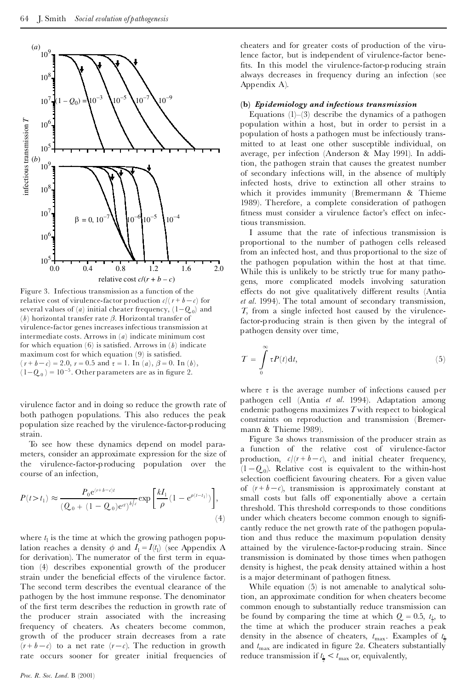

Figure 3. Infectious transmission as a function of the relative cost of virulence-factor production  $c/(r + b - c)$  for several values of (*a*) initial cheater frequency,  $(1-Q_0)$  and (*b*) horizontal transfer rate  $\beta$ . Horizontal transfer of virulence-factor genes increases infectious transmission at intermediate costs. Arrows in (*a*) indicate minimum cost for which equation  $(6)$  is satisfied. Arrows in  $(b)$  indicate maximum cost for which equation  $(9)$  is satisfied.  $(r + b - c) = 2.0, r = 0.5 \text{ and } \tau = 1. \text{ In } (a), \beta = 0. \text{ In } (b),$  $(1-Q_0) = 10^{-5}$ . Other parameters are as in figure 2.

virulence factor and in doing so reduce the growth rate of both pathogen populations. This also reduces the peak population size reached by the virulence-factor-p roducing strain.

To see how these dynamics depend on model para meters, consider an approximate expression for the size of the virulence-factor-p roducing population over the course of an infection,

$$
P(t > t_1) \approx \frac{P_0 e^{(r + b - c)t}}{(Q_0 + (1 - Q_0)e^{ct})^{b/c}} \exp\left[\frac{kI_1}{\rho}(1 - e^{\rho(t - t_1)})\right],
$$
\n(4)

where  $t_1$  is the time at which the growing pathogen population reaches a density  $\phi$  and  $I_1 = I(t_1)$  (see Appendix A for derivation). The numerator of the first term in equation (4) describes exponential growth of the producer strain under the beneficial effects of the virulence factor. The second term describes the eventual clearance of the pathogen by the host immune response. The denominator of the first term describes the reduction in growth rate of the producer strain associated with the increasing frequency of cheaters. As cheaters become common, growth of the producer strain decreases from a rate  $(r+b-c)$  to a net rate  $(r-c)$ . The reduction in growth rate occurs sooner for greater initial frequencies of cheaters and for greater costs of production of the virulence factor, but is independent of virulence-factor bene fits. In this model the virulence-factor-p roducing strain always decreases in frequency during an infection (see Appendix A).

## **(b)** *Epidemiology and infectious transmission*

Equations  $(1)$ – $(3)$  describe the dynamics of a pathogen population within a host, but in order to persist in a population of hosts a pathogen must be infectiously transmitted to at least one other susceptible individual, on average, per infection (Anderson & May 1991). In addition, the pathogen strain that causes the greatest number of secondary infections will, in the absence of multiply infected hosts, drive to extinction all other strains to which it provides immunity (Bremermann & Thieme 1989). Therefore, a complete consideration of pathogen fitness must consider a virulence factor's effect on infectious transmission.

I assume that the rate of infectious transmission is proportional to the number of pathogen cells released from an infected host, and thus proportional to the size of the pathogen population within the host at that time. While this is unlikely to be strictly true for many pathogens, more complicated models involving saturation effects do not give qualitatively different results (Antia *et al.* 1994). The total amount of secondary transmission, *T*, from a single infected host caused by the virulencefactor-producing strain is then given by the integral of pathogen density over time,

$$
T = \int_{0}^{\infty} \tau P(t) \mathrm{d}t,\tag{5}
$$

where  $\tau$  is the average number of infections caused per pathogen cell (Antia *et al.* 1994). Adaptation among endemic pathogens maximizes *T*with respect to biological constraints on reproduction and transmission (Bremer mann & Thieme 1989).

Figure 3*a* shows transmission of the producer strain as a function of the relative cost of virulence-factor production,  $c/(r + b - c)$ , and initial cheater frequency,  $(1-Q_0)$ . Relative cost is equivalent to the within-host selection coefficient favouring cheaters. For a given value of  $(r + b - c)$ , transmission is approximately constant at small costs but falls off exponentially above a certain threshold. This threshold corresponds to those conditions under which cheaters become common enough to significantly reduce the net growth rate of the pathogen population and thus reduce the maximum population density attained by the virulence-factor-p roducing strain. Since transmission is dominated by those times when pathogen density is highest, the peak density attained within a host is a major determinant of pathogen fitness.

While equation (5) is not amenable to analytical solution, an approximate condition for when cheaters become common enough to substantially reduce transmission can be found by comparing the time at which  $Q = 0.5$ ,  $t_{\frac{1}{2}}$ , to the time at which the producer strain reaches a peak density in the absence of cheaters,  $t_{\text{max}}$ . Examples of  $t_{\frac{1}{2}}$ and  $t_{\text{max}}$  are indicated in figure 2*a*. Cheaters substantially reduce transmission if  $t_{\frac{1}{2}} < t_{\text{max}}$  or, equivalently,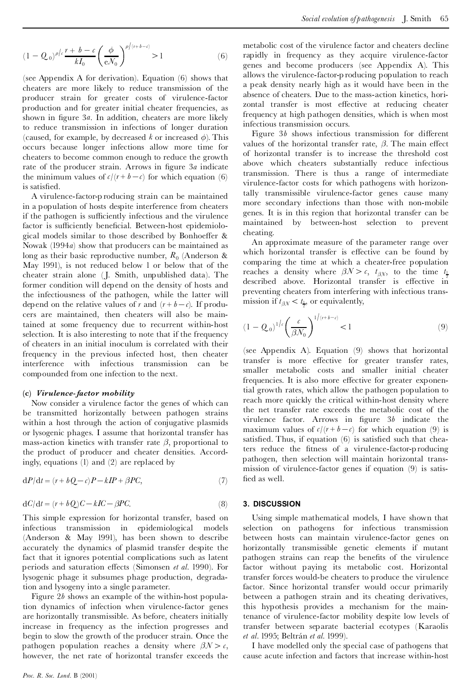$$
(1 - Q_0)^{\rho/c} \frac{r + b - c}{kI_0} \left(\frac{\phi}{eN_0}\right)^{\rho/(r + b - c)} > 1
$$
 (6)

(see Appendix A for derivation). Equation (6) shows that cheaters are more likely to reduce transmission of the producer strain for greater costs of virulence-factor production and for greater initial cheater frequencies, as shown in ¢gure 3*a*. In addition, cheaters are more likely to reduce transmission in infections of longer duration (caused, for example, by decreased  $k$  or increased  $\phi$ ). This occurs because longer infections allow more time for cheaters to become common enough to reduce the growth rate of the producer strain. Arrows in figure 3*a* indicate the minimum values of  $c/(r + b - c)$  for which equation (6) is satisfied.

A virulence-factor-p roducing strain can be maintained in a population of hosts despite interference from cheaters if the pathogen is sufficiently infectious and the virulence factor is sufficiently beneficial. Between-host epidemiological models similar to those described by Bonhoeffer  $\&$ Nowak (1994*a*) show that producers can be maintained as long as their basic reproductive number,  $R_0$  (Anderson & May 1991), is not reduced below 1 or below that of the cheater strain alone ( J. Smith, unpublished data). The former condition will depend on the density of hosts and the infectiousness of the pathogen, while the latter will depend on the relative values of *r* and  $(r + b - c)$ . If producers are maintained, then cheaters will also be maintained at some frequency due to recurrent within-host selection. It is also interesting to note that if the frequency of cheaters in an initial inoculum is correlated with their frequency in the previous infected host, then cheater interference with infectious transmission can be compounded from one infection to the next.

#### **(c)** *Virulence-factor mobility*

Now consider a virulence factor the genes of which can be transmitted horizontally between pathogen strains within a host through the action of conjugative plasmids or lysogenic phages. I assume that horizontal transfer has mass-action kinetics with transfer rate  $\beta$ , proportional to the product of producer and cheater densities. Accordingly, equations (1) and (2) are replaced by

$$
dP/dt = (r + bQ - c)P - kIP + \beta PC,
$$
\n(7)

$$
dC/dt = (r + bQ)C - kIC - \beta PC.
$$
\n(8)

This simple expression for horizontal transfer, based on infectious transmission in epidemiological models (Anderson & May 1991), has been shown to describe accurately the dynamics of plasmid transfer despite the fact that it ignores potential complications such as latent periods and saturation effects (Simonsen *et al.* 1990). For lysogenic phage it subsumes phage production, degradation and lysogeny into a single parameter.

Figure 2*b* shows an example of the within-host population dynamics of infection when virulence-factor genes are horizontally transmissible. As before, cheaters initially increase in frequency as the infection progresses and begin to slow the growth of the producer strain. Once the pathogen population reaches a density where  $\beta N > c$ , however, the net rate of horizontal transfer exceeds the metabolic cost of the virulence factor and cheaters decline rapidly in frequency as they acquire virulence-factor genes and become producers (see Appendix A). This allows the virulence-factor-p roducing population to reach a peak density nearly high as it would have been in the absence of cheaters. Due to the mass-action kinetics, horizontal transfer is most effective at reducing cheater frequency at high pathogen densities, which is when most infectious transmission occurs.

Figure  $3b$  shows infectious transmission for different values of the horizontal transfer rate,  $\beta$ . The main effect of horizontal transfer is to increase the threshold cost above which cheaters substantially reduce infectious transmission. There is thus a range of intermediate virulence-factor costs for which pathogens with horizontally transmissible virulence-factor genes cause many more secondary infections than those with non-mobile genes. It is in this region that horizontal transfer can be maintained by between-host selection to prevent cheating.

An approximate measure of the parameter range over which horizontal transfer is effective can be found by comparing the time at which a cheater-free population reaches a density where  $\beta N > c$ ,  $t_{\beta N}$ , to the time  $t_{\frac{1}{2}}$ described above. Horizontal transfer is effective in preventing cheaters from interfering with infectious transmission if  $t_{\beta N} < t_{\frac{1}{2}}$ , or equivalently,

$$
(1 - Q_0)^{1/\epsilon} \left(\frac{c}{\beta N_0}\right)^{1/(r+b-\epsilon)} < 1
$$
 (9)

(see Appendix A). Equation (9) shows that horizontal transfer is more effective for greater transfer rates, smaller metabolic costs and smaller initial cheater frequencies. It is also more effective for greater exponential growth rates, which allow the pathogen population to reach more quickly the critical within-host density where the net transfer rate exceeds the metabolic cost of the virulence factor. Arrows in ¢gure 3*b* indicate the maximum values of  $c/(r + b - c)$  for which equation (9) is satisfied. Thus, if equation  $(6)$  is satisfied such that cheaters reduce the fitness of a virulence-factor-p roducing pathogen, then selection will maintain horizontal transmission of virulence-factor genes if equation (9) is satis fied as well.

#### **3. DISCUSSION**

Using simple mathematical models, I have shown that selection on pathogens for infectious transmission between hosts can maintain virulence-factor genes on horizontally transmissible genetic elements if mutant pathogen strains can reap the bene¢ts of the virulence factor without paying its metabolic cost. Horizontal transfer forces would-be cheaters to produce the virulence factor. Since horizontal transfer would occur primarily between a pathogen strain and its cheating derivatives, this hypothesis provides a mechanism for the maintenance of virulence-factor mobility despite low levels of transfer between separate bacterial ecotypes (Karaolis *et al.* 1995; Beltrán *et al.* 1999).

I have modelled only the special case of pathogens that cause acute infection and factors that increase within-host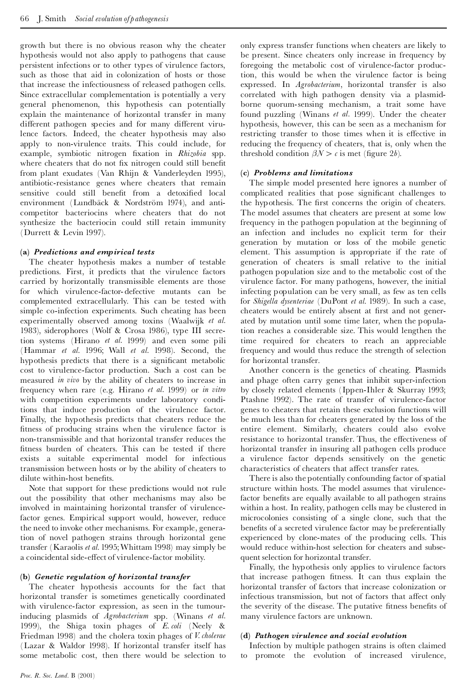growth but there is no obvious reason why the cheater hypothesis would not also apply to pathogens that cause persistent infections or to other types of virulence factors, such as those that aid in colonization of hosts or those that increase the infectiousness of released pathogen cells. Since extracellular complementation is potentially a very general phenomenon, this hypothesis can potentially explain the maintenance of horizontal transfer in many different pathogen species and for many different virulence factors. Indeed, the cheater hypothesis may also apply to non-virulence traits. This could include, for example, symbiotic nitrogen ¢xation in *Rhizobia* spp. where cheaters that do not fix nitrogen could still benefit from plant exudates (Van Rhijn & Vanderleyden 1995), antibiotic-resistance genes where cheaters that remain sensitive could still benefit from a detoxified local environment (Lundbäck & Nordström 1974), and anticompetitor bacteriocins where cheaters that do not synthesize the bacteriocin could still retain immunity (Durrett & Levin 1997).

## **(a)** *Predictions and empirical tests*

The cheater hypothesis makes a number of testable predictions. First, it predicts that the virulence factors carried by horizontally transmissible elements are those for which virulence-factor- defective mutants can be complemented extracellularly. This can be tested with simple co-infection experiments. Such cheating has been experimentally observed among toxins (Waalwijk *et al.* 1983), siderophores (Wolf & Crosa 1986), type III secretion systems (Hirano *et al.* 1999) and even some pili (Hammar *et al.* 1996; Wall *et al.* 1998). Second, the hypothesis predicts that there is a significant metabolic cost to virulence-factor production. Such a cost can be measured *in vivo* by the ability of cheaters to increase in frequency when rare (e.g. Hirano *et al.* 1999) or *in vitro* with competition experiments under laboratory conditions that induce production of the virulence factor. Finally, the hypothesis predicts that cheaters reduce the fitness of producing strains when the virulence factor is non-transmissible and that horizontal transfer reduces the fitness burden of cheaters. This can be tested if there exists a suitable experimental model for infectious transmission between hosts or by the ability of cheaters to dilute within-host benefits.

Note that support for these predictions would not rule out the possibility that other mechanisms may also be involved in maintaining horizontal transfer of virulencefactor genes. Empirical support would, however, reduce the need to invoke other mechanisms. For example, generation of novel pathogen strains through horizontal gene transfer (Karaolis *et al.* 1995;Whittam 1998) may simply be a coincidental side-effect of virulence-factor mobility.

#### **(b)** *Genetic regulation of horizontal transfer*

The cheater hypothesis accounts for the fact that horizontal transfer is sometimes genetically coordinated with virulence-factor expression, as seen in the tumourinducing plasmids of *Agrobacterium* spp. (Winans *et al.* 1999), the Shiga toxin phages of *E. coli* (Neely & Friedman 1998) and the cholera toxin phages of *V. cholerae* (Lazar & Waldor 1998). If horizontal transfer itself has some metabolic cost, then there would be selection to only express transfer functions when cheaters are likely to be present. Since cheaters only increase in frequency by foregoing the metabolic cost of virulence-factor production, this would be when the virulence factor is being expressed. In *Agrobacterium*, horizontal transfer is also correlated with high pathogen density via a plasmidborne quorum-sensing mechanism, a trait some have found puzzling (Winans *et al.* 1999). Under the cheater hypothesis, however, this can be seen as a mechanism for restricting transfer to those times when it is effective in reducing the frequency of cheaters, that is, only when the threshold condition  $\beta \mathcal{N} > c$  is met (figure 2*b*).

# **(c)** *Problems and limitations*

The simple model presented here ignores a number of complicated realities that pose significant challenges to the hypothesis. The first concerns the origin of cheaters. The model assumes that cheaters are present at some low frequency in the pathogen population at the beginning of an infection and includes no explicit term for their generation by mutation or loss of the mobile genetic element. This assumption is appropriate if the rate of generation of cheaters is small relative to the initial pathogen population size and to the metabolic cost of the virulence factor. For many pathogens, however, the initial infecting population can be very small, as few as ten cells for *Shigella dysenteriae* (DuPont *et al.* 1989). In such a case, cheaters would be entirely absent at first and not generated by mutation until some time later, when the population reaches a considerable size. This would lengthen the time required for cheaters to reach an appreciable frequency and would thus reduce the strength of selection for horizontal transfer.

Another concern is the genetics of cheating. Plasmids and phage often carry genes that inhibit super-infection by closely related elements (Ippen-Ihler & Skurray 1993; Ptashne 1992). The rate of transfer of virulence-factor genes to cheaters that retain these exclusion functions will be much less than for cheaters generated by the loss of the entire element. Similarly, cheaters could also evolve resistance to horizontal transfer. Thus, the effectiveness of horizontal transfer in insuring all pathogen cells produce a virulence factor depends sensitively on the genetic characteristics of cheaters that affect transfer rates.

There is also the potentially confounding factor of spatial structure within hosts. The model assumes that virulencefactor benefits are equally available to all pathogen strains within a host. In reality, pathogen cells may be clustered in microcolonies consisting of a single clone, such that the benefits of a secreted virulence factor may be preferentially experienced by clone-mates of the producing cells. This would reduce within-host selection for cheaters and subsequent selection for horizontal transfer.

Finally, the hypothesis only applies to virulence factors that increase pathogen fitness. It can thus explain the horizontal transfer of factors that increase colonization or infectious transmission, but not of factors that affect only the severity of the disease. The putative fitness benefits of many virulence factors are unknown.

## **(d)** *Pathogen virulence and social evolution*

Infection by multiple pathogen strains is often claimed to promote the evolution of increased virulence,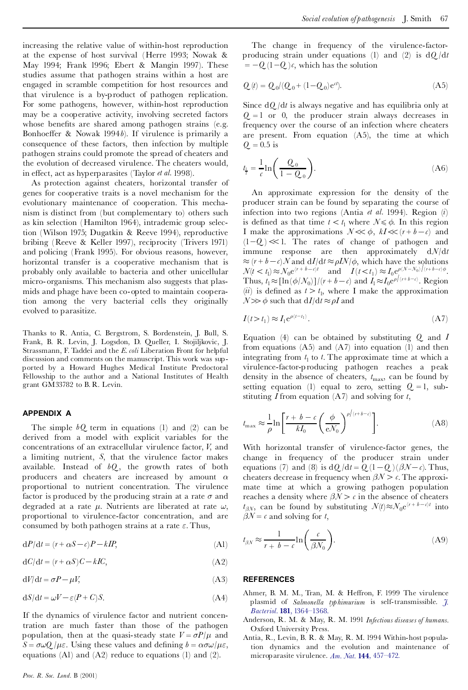increasing the relative value of within-host reproduction at the expense of host survival (Herre 1993; Nowak & May 1994; Frank 1996; Ebert & Mangin 1997). These studies assume that pathogen strains within a host are engaged in scramble competition for host resources and that virulence is a by-product of pathogen replication. For some pathogens, however, within-host reproduction may be a cooperative activity, involving secreted factors whose benefits are shared among pathogen strains (e.g. Bonhoeffer & Nowak 1994*b*). If virulence is primarily a consequence of these factors, then infection by multiple pathogen strains could promote the spread of cheaters and the evolution of decreased virulence. The cheaters would, in effect, act as hyperparasites (Taylor *et al.* 1998).

As protection against cheaters, horizontal transfer of genes for cooperative traits is a novel mechanism for the evolutionary maintenance of cooperation. This mechanism is distinct from (but complementary to) others such as kin selection (Hamilton 1964), intrademic group selection (Wilson 1975; Dugatkin & Reeve 1994), reproductive bribing (Reeve & Keller 1997), reciprocity (Trivers 1971) and policing (Frank 1995). For obvious reasons, however, horizontal transfer is a cooperative mechanism that is probably only available to bacteria and other unicellular micro-organisms. This mechanism also suggests that plasmids and phage have been co-opted to maintain cooperation among the very bacterial cells they originally evolved to parasitize.

Thanks to R. Antia, C. Bergstrom, S. Bordenstein, J. Bull, S. Frank, B. R. Levin, J. Logsdon, D. Queller, I. Stojiljkovic, J. Strassmann, F. Taddei and the *E. coli* Liberation Front for helpful discussion and comments on the manuscript. This work was sup ported by a Howard Hughes Medical Institute Predoctoral Fellowship to the author and a National Institutes of Health grant GM33782 to B. R. Levin.

#### **APPENDIX A**

The simple  $bQ$  term in equations (1) and (2) can be derived from a model with explicit variables for the concentrations of an extracellular virulence factor, *V*, and a limiting nutrient, *S*, that the virulence factor makes available. Instead of *bQ* , the growth rates of both producers and cheaters are increased by amount  $\alpha$ proportional to nutrient concentration. The virulence factor is produced by the producing strain at a rate  $\sigma$  and degraded at a rate  $\mu$ . Nutrients are liberated at rate  $\omega$ , proportional to virulence-factor concentration, and are consumed by both pathogen strains at a rate  $\varepsilon$ . Thus,

$$
dP/dt = (r + \alpha S - c)P - kIP,
$$
\n(A1)

$$
dC/dt = (r + \alpha S)C - kIC,
$$
\n(A2)

 $dV/dt = \sigma P - \mu V$ , (A3)

$$
\mathrm{d}S/\mathrm{d}t=\omega V-\varepsilon(P+C)S.\tag{A4}
$$

If the dynamics of virulence factor and nutrient concentration are much faster than those of the pathogen population, then at the quasi-steady state  $V = \sigma P/\mu$  and  $S = \sigma \omega Q / \mu \varepsilon$ . Using these values and defining  $b = \alpha \sigma \omega / \mu \varepsilon$ , equations (A1) and (A2) reduce to equations (1) and (2).

The change in frequency of the virulence-factorproducing strain under equations (1) and (2) is d*Q* /d*t* $= -Q(1-Q)$ *c*, which has the solution

$$
Q(t) = Q_0/(Q_0 + (1 - Q_0)e^{ct}).
$$
\n(A5)

Since d*Q* /d*t*is always negative and has equilibria only at  $Q = 1$  or 0, the producer strain always decreases in frequency over the course of an infection where cheaters are present. From equation (A5), the time at which  $Q_{.} = 0.5$  is

$$
t_{\frac{1}{2}} = \frac{1}{c} \ln \left( \frac{Q_0}{1 - Q_0} \right). \tag{A6}
$$

An approximate expression for the density of the producer strain can be found by separating the course of infection into two regions (Antia *et al.* 1994). Region (*i*) is defined as that time  $t < t_1$  where  $N \le \phi$ . In this region I make the approximations  $N \ll \phi$ ,  $kI \ll (r + b - c)$  and  $(1-Q) \ll 1$ . The rates of change of pathogen and immune response are then approximately d*N*/d*t*  $\approx (r + b - c)N$  and  $dI/dt \approx \rho I N/\phi$ , which have the solutions  $N(t < t_1) \approx N_0 e^{(r + b - c)t}$  and  $I(t < t_1) \approx I_0 e^{(\lambda - N_0)(r + b - c)\phi}$ . Thus,  $t_1 \approx [\ln(\phi/N_0)]/(r+b-c)$  and  $I_1 \approx I_0 e^{\rho/(r+b-c)}$ . Region  $(iii)$  is defined as  $t > t_1$ , where I make the approximation  $N \gg \phi$  such that  $dI/dt \approx \rho I$  and

$$
I(t > t_1) \approx I_1 e^{\rho(t - t_1)}.
$$
\n(A7)

Equation (4) can be obtained by substituting *Q* and *I* from equations  $(A5)$  and  $(A7)$  into equation  $(1)$  and then integrating from  $t_1$  to  $t$ . The approximate time at which a virulence-factor-p roducing pathogen reaches a peak density in the absence of cheaters,  $t_{\text{max}}$ , can be found by setting equation (1) equal to zero, setting  $Q = 1$ , substituting *I* from equation (A7) and solving for *t*,

$$
t_{\max} \approx \frac{1}{\rho} \ln \left[ \frac{r + b - c}{k I_0} \left( \frac{\phi}{e N_0} \right)^{\rho \left( \frac{r + b - c}{c} \right)} \right].
$$
 (A8)

With horizontal transfer of virulence-factor genes, the change in frequency of the producer strain under equations (7) and (8) is  $dQ/dt = Q(1-Q)(\beta \mathcal{N}-c)$ . Thus, cheaters decrease in frequency when  $\beta \mathcal{N} > c$ . The approximate time at which a growing pathogen population reaches a density where  $\beta N > c$  in the absence of cheaters  $t_{\beta N}$ , can be found by substituting  $\mathcal{N}(t) \approx \mathcal{N}_0 e^{(r + b - c)t}$  into  $\beta N = c$  and solving for *t*,

$$
t_{\beta N} \approx \frac{1}{r + b - c} \ln\left(\frac{c}{\beta N_0}\right). \tag{A9}
$$

#### **REFERENCES**

- Ahmer, B. M. M., Tran, M. & Heffron, F. 1999 The virulence plasmid of *Salmonella typhimurium* is self-transmissible. *[J.](http://pinkerton.catchword.com/nw=1/rpsv/0021-9193^28^29181L.1364[nlm=9973370]) Bacteriol.* **181**, [1364^1368.](http://pinkerton.catchword.com/nw=1/rpsv/0021-9193^28^29181L.1364[nlm=9973370])
- Anderson, R. M. & May, R. M. 1991 *Infectious diseases of humans.* Oxford University Press.
- Antia, R., Levin, B. R. & May, R. M. 1994 Within-host population dynamics and the evolution and maintenance of microparasite virulence. *Am. Nat.* **144**, [457^472.](http://pinkerton.catchword.com/nw=1/rpsv/0003-0147^28^29144L.457[csa=0003-0147^26vol=144^26iss=3^26firstpage=457])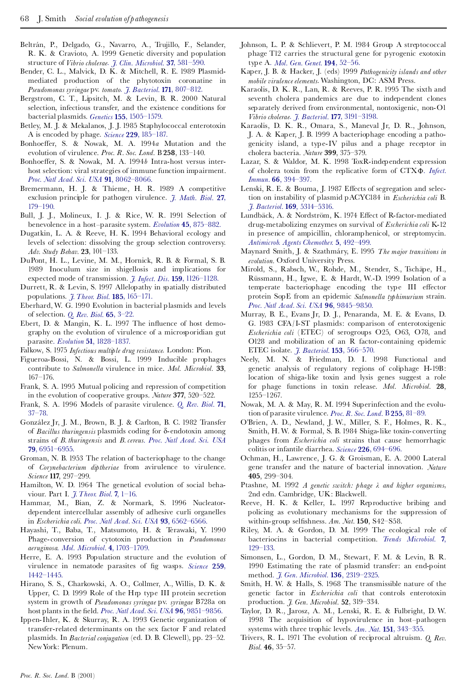- Beltrán, P., Delgado, G., Navarro, A., Trujillo, F., Selander, R. K. & Cravioto, A. 1999 Genetic diversity and population structure of *Vibrio cholerae*. *J. Clin. [Microbiol.](http://pinkerton.catchword.com/nw=1/rpsv/0095-1137^28^2937L.581[nlm=9986816])* **37**, 581^590.
- Bender, C. L., Malvick, D. K. & Mitchell, R. E. 1989 Plasmidmediated production of the phytotoxin coronatine in *Pseudomonas syringae* pv. *tomato*. *J. Bacteriol.* **171**, [807^812.](http://pinkerton.catchword.com/nw=1/rpsv/0021-9193^28^29171L.807[csa=0021-9193^26vol=171^26iss=2^26firstpage=807,nlm=2536682])
- Bergstrom, C. T., Lipsitch, M. & Levin, B. R. 2000 Natural selection, infectious transfer, and the existence conditions for bacterial plasmids. *Genetics* **155**, [1505^1579.](http://pinkerton.catchword.com/nw=1/rpsv/0016-6731^28^29155L.1505[nlm=10924453])
- Betley, M. J. & Mekalanos, J. J. 1985 Staphylococcal enterotoxin A is encoded by phage. *Science* **229**, [185^187.](http://pinkerton.catchword.com/nw=1/rpsv/0036-8075^28^29229L.185[csa=0036-8075^26vol=229^26iss=4709^26firstpage=185,nlm=3160112])
- Bonhoeffer, S. & Nowak, M. A. 1994a Mutation and the evolution of virulence. *Proc. R. Soc. Lond.* B **258**, 133^140.
- Bonhoeffer, S. & Nowak, M. A. 1994b Intra-host versus interhost selection: viral strategies of immune function impairment. *Proc. Natl Acad. Sci. USA* **91**, [8062^8066.](http://pinkerton.catchword.com/nw=1/rpsv/0027-8424^28^2991L.8062[nlm=8058757])
- Bremermann, H. J. & Thieme, H. R. 1989 A competitive exclusion principle for pathogen virulence. *J. [Math.](http://pinkerton.catchword.com/nw=1/rpsv/0303-6812^28^2927L.179[nlm=2723551]) Biol.* **27**, [179^190.](http://pinkerton.catchword.com/nw=1/rpsv/0303-6812^28^2927L.179[nlm=2723551])
- Bull, J. J., Molineux, I. J. & Rice, W. R. 1991 Selection of benevolence in a host^parasite system. *Evolution* **45**, [875^882.](http://pinkerton.catchword.com/nw=1/rpsv/0014-3820^28^2945L.875[csa=0014-3820^26vol=45^26iss=4^26firstpage=875])
- Dugatkin, L. A. & Reeve, H. K. 1994 Behavioral ecology and levels of selection: dissolving the group selection controversy. *Adv. Study Behav.* **23**, 101^133.
- DuPont, H. L., Levine, M. M., Hornick, R. B. & Formal, S. B. 1989 Inoculum size in shigellosis and implications for expected mode of transmission. *J. Infect. Dis.* **159**, [1126^1128.](http://pinkerton.catchword.com/nw=1/rpsv/0022-1899^28^29159L.1126[csa=0022-1899^26vol=159^26iss=6^26firstpage=1126,nlm=2656880])
- Durrett, R. & Levin, S. 1997 Allelopathy in spatially distributed populations. *J.Theor. Biol.* **185**, [165^171.](http://pinkerton.catchword.com/nw=1/rpsv/0022-5193^28^29185L.165[csa=0022-5193^26vol=185^26iss=2^26firstpage=165,nlm=9344720])
- Eberhard, W. G. 1990 Evolution in bacterial plasmids and levels of selection. *Q. Rev. Biol.* **65**, [3^22.](http://pinkerton.catchword.com/nw=1/rpsv/0033-5770^28^2965L.3[nlm=2186429])
- Ebert, D. & Mangin, K. L. 1997 The influence of host demography on the evolution of virulence of a microsporidian gut parasite. *Evolution* **51**, [1828^1837.](http://pinkerton.catchword.com/nw=1/rpsv/0014-3820^28^2951L.1828[csa=0014-3820^26vol=51^26iss=6^26firstpage=1828])
- Falkow, S. 1975 *Infectious multiple drug resistance*. London: Pion.
- Figueroa-Bossi, N. & Bossi, L. 1999 Inducible prophages contribute to *Salmonella* virulence in mice. *Mol. Microbiol.* **33**, 167^176.
- Frank, S. A. 1995 Mutual policing and repression of competition in the evolution of cooperative groups. *Nature* **377**, 520^522.
- Frank, S. A. 1996 Models of parasite virulence. *Q. Rev. [Biol.](http://pinkerton.catchword.com/nw=1/rpsv/0033-5770^28^2971L.37[nlm=8919665])* **71**,  $37 - 78$
- González Jr, J. M., Brown, B. J. & Carlton, B. C. 1982 Transfer of *Bacillus thuringensis* plasmids coding for d-endotoxin among strains of *B. thuringensis* and *B. cereus*. *Proc. Natl [Acad.](http://pinkerton.catchword.com/nw=1/rpsv/0027-8424^28^2979L.6951[csa=0027-8424^26vol=79^26iss=22^26firstpage=6951,nlm=6294667]) Sci. USA* **79**, [6951^6955.](http://pinkerton.catchword.com/nw=1/rpsv/0027-8424^28^2979L.6951[csa=0027-8424^26vol=79^26iss=22^26firstpage=6951,nlm=6294667])
- Groman, N. B. 1953 The relation of bacteriophage to the change of *Corynebacterium diptheriae* from avirulence to virulence. *Science* **117**, 297^299.
- Hamilton, W. D. 1964 The genetical evolution of social behaviour. Part I. *[J.Theor.](http://pinkerton.catchword.com/nw=1/rpsv/0022-5193^28^297L.1[nlm=5875341]) Biol.* **7**, 1^16.
- Hammar, M., Bian, Z. & Normark, S. 1996 Nucleatordependent intercellular assembly of adhesive curli organelles in *Escherichia coli. Proc. Natl Acad. Sci. USA* **93**, [6562^6566.](http://pinkerton.catchword.com/nw=1/rpsv/0027-8424^28^2993L.6562[nlm=8692856])
- Hayashi, T., Baba, T., Matsumoto, H. & Terawaki, Y. 1990 Phage-conversion of cytotoxin production in *Pseudomonas aeruginosa*. *Mol. Microbiol.* **4**, [1703^1709.](http://pinkerton.catchword.com/nw=1/rpsv/0950-382X^28^294L.1703[csa=0950-382X^26vol=4^26iss=10^26firstpage=1703])
- Herre, E. A. 1993 Population structure and the evolution of virulence in nematode parasites of ¢g wasps. *[Science](http://pinkerton.catchword.com/nw=1/rpsv/0036-8075^28^29259L.1442[csa=0036-8075^26vol=259^26iss=5100^26firstpage=1442])* **259**, [1442^1445.](http://pinkerton.catchword.com/nw=1/rpsv/0036-8075^28^29259L.1442[csa=0036-8075^26vol=259^26iss=5100^26firstpage=1442])
- Hirano, S. S., Charkowski, A. O., Collmer, A., Willis, D. K. & Upper, C. D. 1999 Role of the Hrp type III protein secretion system in growth of *Pseudomonas syringae* pv. *syringae* B728a on host plants in the ¢eld. *Proc. Natl Acad. Sci. USA* **96**, [9851^9856.](http://pinkerton.catchword.com/nw=1/rpsv/0027-8424^28^2996L.9851[nlm=10449783])
- Ippen-Ihler, K. & Skurray, R. A. 1993 Genetic organization of transfer-related determinants on the sex factor F and related plasmids. In *Bacterial conjugation* (ed. D. B. Clewell), pp. 23^52. NewYork: Plenum.
- Johnson, L. P. & Schlievert, P. M. 1984 Group A streptococcal phage T12 carries the structural gene for pyrogenic exotoxin type A. *Mol. Gen. Genet.* **194**, [52^56.](http://pinkerton.catchword.com/nw=1/rpsv/0026-8925^28^29194L.52[nlm=6374381])
- Kaper, J. B. & Hacker, J. (eds) 1999 *Pathogenicity islands and other mobile virulence elements*.Washington, DC: ASM Press.
- Karaolis, D. K. R., Lan, R. & Reeves, P. R. 1995 The sixth and seventh cholera pandemics are due to independent clones separately derived from environmental, nontoxigenic, non-O1 *Vibrio cholerae*. *J. Bacteriol.* **177**, [3191^3198.](http://pinkerton.catchword.com/nw=1/rpsv/0021-9193^28^29177L.3191[nlm=7768818])
- Karaolis, D. K. R., Omara, S., Maneval Jr, D. R., Johnson, J. A. & Kaper, J. B. 1999 A bacteriophage encoding a pathogenicity island, a type-IV pilus and a phage receptor in cholera bacteria. *Nature* **399**, 375^379.
- Lazar, S. & Waldor, M. K. 1998 ToxR-independent expression of cholera toxin from the replicative form of CTX©. *[Infect.](http://pinkerton.catchword.com/nw=1/rpsv/0019-9567^28^2966L.394[nlm=9423889]) Immun.* **66**, [394^397.](http://pinkerton.catchword.com/nw=1/rpsv/0019-9567^28^2966L.394[nlm=9423889])
- Lenski, R. E. & Bouma, J. 1987 Effects of segregation and selection on instability of plasmid pACYC184 in *Escherichia coli* B. *J. Bacteriol.* **169**, [5314^5316.](http://pinkerton.catchword.com/nw=1/rpsv/0021-9193^28^29169L.5314[csa=0021-9193^26vol=169^26iss=11^26firstpage=5314,nlm=3312174])
- Lundbäck, A. & Nordström, K. 1974 Effect of R-factor-mediated drug-metabolizing enzymes on survival of *Escherichia coli* K-12 in presence of ampicillin, chloramphenicol, or streptomycin. *[Antimicrob.](http://pinkerton.catchword.com/nw=1/rpsv/0066-4804^28^295L.492[nlm=4618459]) Agents Chemother.* **5**, 492^499.
- Maynard Smith, J. & Szathma¨ry, E. 1995 *The major transitions in evolution.* Oxford University Press.
- Mirold, S., Rabsch, W., Rohde, M., Stender, S., Tschäpe, H., Rüssmann, H., Igwe, E. & Hardt, W.-D. 1999 Isolation of a temperate bacteriophage encoding the type III effector protein SopE from an epidemic *Salmonella typhimurium* strain. *Proc. Natl Acad. Sci. USA* **96**, [9845^9850.](http://pinkerton.catchword.com/nw=1/rpsv/0027-8424^28^2996L.9845[nlm=10449782])
- Murray, B. E., Evans Jr, D. J., Penaranda, M. E. & Evans, D. G. 1983 CFA/I-ST plasmids: comparison of enterotoxigenic *Escherichia coli* (ETEC) of serogroups O25, O63, O78, and O128 and mobilization of an R factor-containing epidemic ETEC isolate. *J. Bacteriol.* **153**, [566^570.](http://pinkerton.catchword.com/nw=1/rpsv/0021-9193^28^29153L.566[csa=0021-9193^26vol=153^26iss=1^26firstpage=566,nlm=6336743])
- Neely, M. N. & Friedman, D. I. 1998 Functional and genetic analysis of regulatory regions of coliphage H-19B: location of shiga-like toxin and lysis genes suggest a role for phage functions in toxin release. *Mol. Microbiol.* **28**, 1255^1267.
- Nowak, M. A. & May, R. M. 1994 Superinfection and the evolution of parasite virulence. *Proc. R. Soc. Lond.* B **255**, [81^89.](http://pinkerton.catchword.com/nw=1/rpsv/0962-8452^28^29255L.81[csa=0962-8452^26vol=255^26iss=1342^26firstpage=81,nlm=8153140])
- O'Brien, A. D., Newland, J. W., Miller, S. F., Holmes, R. K., Smith, H.W. & Formal, S. B. 1984 Shiga-like toxin-converting phages from *Escherichia coli* strains that cause hemorrhagic colitis or infantile diarrhea. *Science* **226**, [694^696.](http://pinkerton.catchword.com/nw=1/rpsv/0036-8075^28^29226L.694[nlm=6387911])
- Ochman, H., Lawrence, J. G. & Groisman, E. A. 2000 Lateral gene transfer and the nature of bacterial innovation. *Nature* **405**, 299^304.
- Ptashne, M. 1992 *A genetic switch: phage*  $\lambda$  *and higher organisms*, 2nd edn. Cambridge, UK: Blackwell.
- Reeve, H. K. & Keller, L. 1997 Reproductive bribing and policing as evolutionary mechanisms for the suppression of within-group selfishness. *Am. Nat.* **150**, S42-S58.
- Riley, M. A. & Gordon, D. M. 1999 The ecological role of bacteriocins in bacterial competition. *Trends [Microbiol.](http://pinkerton.catchword.com/nw=1/rpsv/0966-842X^28^297L.129[csa=0966-842X^26vol=7^26iss=3^26firstpage=129])* **7**, [129^133.](http://pinkerton.catchword.com/nw=1/rpsv/0966-842X^28^297L.129[csa=0966-842X^26vol=7^26iss=3^26firstpage=129])
- Simonsen, L., Gordon, D. M., Stewart, F. M. & Levin, B. R. 1990 Estimating the rate of plasmid transfer: an end-point method. *J. Gen. Microbiol.* **136**, [2319^2325.](http://pinkerton.catchword.com/nw=1/rpsv/0022-1287^28^29136L.2319[nlm=2079626])
- Smith, H. W. & Halls, S. 1968 The transmissible nature of the genetic factor in *Escherichia coli* that controls enterotoxin production. *J. Gen. Microbiol.* **52**, 319^334.
- Taylor, D. R., Jarosz, A. M., Lenski, R. E. & Fulbright, D. W. 1998 The acquisition of hypovirulence in host^pathogen systems with three trophic levels. *Am. Nat.* **151**, [343^355.](http://pinkerton.catchword.com/nw=1/rpsv/0003-0147^28^29151L.343[csa=0003-0147^26vol=151^26iss=4^26firstpage=343])
- Trivers, R. L. 1971 The evolution of reciprocal altruism. *Q. Rev. Biol.* **46**, 35^57.